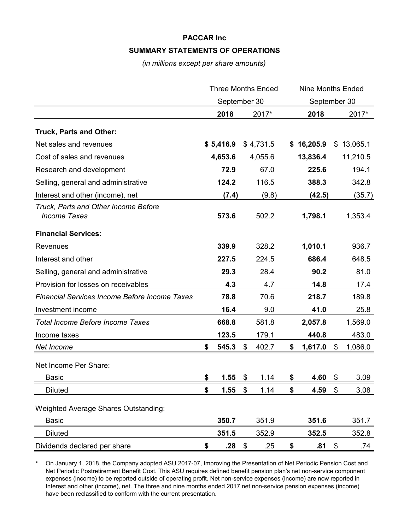## **PACCAR Inc SUMMARY STATEMENTS OF OPERATIONS**

*(in millions except per share amounts)*

|                                                             | <b>Three Months Ended</b> |           | <b>Nine Months Ended</b> |               |    |            |
|-------------------------------------------------------------|---------------------------|-----------|--------------------------|---------------|----|------------|
|                                                             | September 30              |           | September 30             |               |    |            |
|                                                             |                           | 2018      | 2017*                    | 2018          |    | 2017*      |
| <b>Truck, Parts and Other:</b>                              |                           |           |                          |               |    |            |
| Net sales and revenues                                      |                           | \$5,416.9 | \$4,731.5                | \$16,205.9    |    | \$13,065.1 |
| Cost of sales and revenues                                  |                           | 4,653.6   | 4,055.6                  | 13,836.4      |    | 11,210.5   |
| Research and development                                    |                           | 72.9      | 67.0                     | 225.6         |    | 194.1      |
| Selling, general and administrative                         |                           | 124.2     | 116.5                    | 388.3         |    | 342.8      |
| Interest and other (income), net                            |                           | (7.4)     | (9.8)                    | (42.5)        |    | (35.7)     |
| Truck, Parts and Other Income Before<br><b>Income Taxes</b> |                           | 573.6     | 502.2                    | 1,798.1       |    | 1,353.4    |
| <b>Financial Services:</b>                                  |                           |           |                          |               |    |            |
| <b>Revenues</b>                                             |                           | 339.9     | 328.2                    | 1,010.1       |    | 936.7      |
| Interest and other                                          |                           | 227.5     | 224.5                    | 686.4         |    | 648.5      |
| Selling, general and administrative                         |                           | 29.3      | 28.4                     | 90.2          |    | 81.0       |
| Provision for losses on receivables                         |                           | 4.3       | 4.7                      | 14.8          |    | 17.4       |
| <b>Financial Services Income Before Income Taxes</b>        |                           | 78.8      | 70.6                     | 218.7         |    | 189.8      |
| Investment income                                           |                           | 16.4      | 9.0                      | 41.0          |    | 25.8       |
| <b>Total Income Before Income Taxes</b>                     |                           | 668.8     | 581.8                    | 2,057.8       |    | 1,569.0    |
| Income taxes                                                |                           | 123.5     | 179.1                    | 440.8         |    | 483.0      |
| Net Income                                                  | \$                        | 545.3     | \$<br>402.7              | \$<br>1,617.0 | \$ | 1,086.0    |
| Net Income Per Share:                                       |                           |           |                          |               |    |            |
| <b>Basic</b>                                                | \$                        | 1.55      | \$<br>1.14               | \$<br>4.60    | \$ | 3.09       |
| <b>Diluted</b>                                              | \$                        | 1.55      | \$<br>1.14               | \$<br>4.59    | \$ | 3.08       |
|                                                             |                           |           |                          |               |    |            |
| <b>Weighted Average Shares Outstanding:</b>                 |                           |           |                          |               |    |            |
| <b>Basic</b>                                                |                           | 350.7     | 351.9                    | 351.6         |    | 351.7      |
| <b>Diluted</b>                                              |                           | 351.5     | 352.9                    | 352.5         |    | 352.8      |
| Dividends declared per share                                | \$                        | .28       | \$<br>.25                | \$<br>.81     | \$ | .74        |

\* On January 1, 2018, the Company adopted ASU 2017-07, Improving the Presentation of Net Periodic Pension Cost and Net Periodic Postretirement Benefit Cost. This ASU requires defined benefit pension plan's net non-service component expenses (income) to be reported outside of operating profit. Net non-service expenses (income) are now reported in Interest and other (income), net. The three and nine months ended 2017 net non-service pension expenses (income) have been reclassified to conform with the current presentation.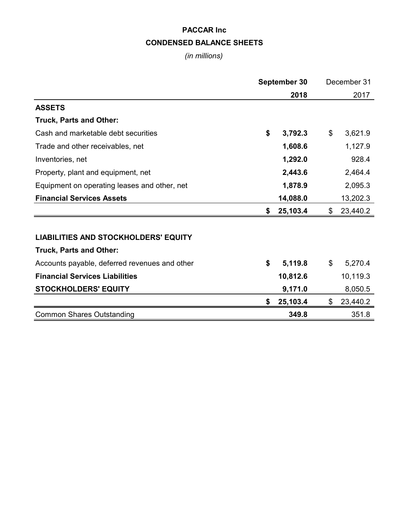# **PACCAR Inc CONDENSED BALANCE SHEETS**

*(in millions)*

|                                               | September 30 |          | December 31    |
|-----------------------------------------------|--------------|----------|----------------|
|                                               |              | 2018     | 2017           |
| <b>ASSETS</b>                                 |              |          |                |
| Truck, Parts and Other:                       |              |          |                |
| Cash and marketable debt securities           | \$           | 3,792.3  | \$<br>3,621.9  |
| Trade and other receivables, net              |              | 1,608.6  | 1,127.9        |
| Inventories, net                              |              | 1,292.0  | 928.4          |
| Property, plant and equipment, net            |              | 2,443.6  | 2,464.4        |
| Equipment on operating leases and other, net  |              | 1,878.9  | 2,095.3        |
| <b>Financial Services Assets</b>              |              | 14,088.0 | 13,202.3       |
|                                               | S            | 25,103.4 | \$<br>23,440.2 |
|                                               |              |          |                |
| <b>LIABILITIES AND STOCKHOLDERS' EQUITY</b>   |              |          |                |
| <b>Truck, Parts and Other:</b>                |              |          |                |
| Accounts payable, deferred revenues and other | \$           | 5,119.8  | \$<br>5,270.4  |
| <b>Financial Services Liabilities</b>         |              | 10,812.6 | 10,119.3       |
| <b>STOCKHOLDERS' EQUITY</b>                   |              | 9,171.0  | 8,050.5        |
|                                               | \$           | 25,103.4 | \$<br>23,440.2 |
| <b>Common Shares Outstanding</b>              |              | 349.8    | 351.8          |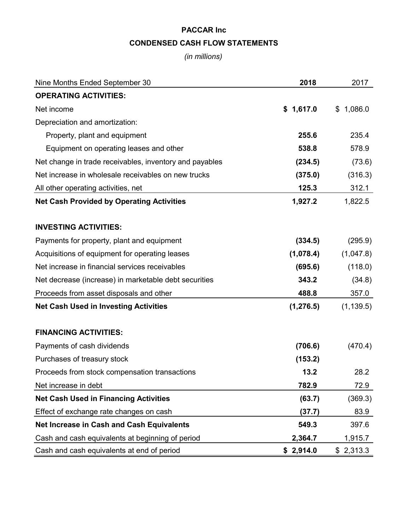# **PACCAR Inc CONDENSED CASH FLOW STATEMENTS**

*(in millions)*

| Nine Months Ended September 30                          | 2018       | 2017          |
|---------------------------------------------------------|------------|---------------|
| <b>OPERATING ACTIVITIES:</b>                            |            |               |
| Net income                                              | \$1,617.0  | 1,086.0<br>\$ |
| Depreciation and amortization:                          |            |               |
| Property, plant and equipment                           | 255.6      | 235.4         |
| Equipment on operating leases and other                 | 538.8      | 578.9         |
| Net change in trade receivables, inventory and payables | (234.5)    | (73.6)        |
| Net increase in wholesale receivables on new trucks     | (375.0)    | (316.3)       |
| All other operating activities, net                     | 125.3      | 312.1         |
| <b>Net Cash Provided by Operating Activities</b>        | 1,927.2    | 1,822.5       |
|                                                         |            |               |
| <b>INVESTING ACTIVITIES:</b>                            |            |               |
| Payments for property, plant and equipment              | (334.5)    | (295.9)       |
| Acquisitions of equipment for operating leases          | (1,078.4)  | (1,047.8)     |
| Net increase in financial services receivables          | (695.6)    | (118.0)       |
| Net decrease (increase) in marketable debt securities   | 343.2      | (34.8)        |
| Proceeds from asset disposals and other                 | 488.8      | 357.0         |
| <b>Net Cash Used in Investing Activities</b>            | (1, 276.5) | (1, 139.5)    |
| <b>FINANCING ACTIVITIES:</b>                            |            |               |
| Payments of cash dividends                              | (706.6)    | (470.4)       |
| Purchases of treasury stock                             | (153.2)    |               |
| Proceeds from stock compensation transactions           | 13.2       | 28.2          |
| Net increase in debt                                    | 782.9      | 72.9          |
| <b>Net Cash Used in Financing Activities</b>            | (63.7)     | (369.3)       |
| Effect of exchange rate changes on cash                 | (37.7)     | 83.9          |
| <b>Net Increase in Cash and Cash Equivalents</b>        | 549.3      | 397.6         |
| Cash and cash equivalents at beginning of period        | 2,364.7    | 1,915.7       |
| Cash and cash equivalents at end of period              | \$2,914.0  | \$2,313.3     |